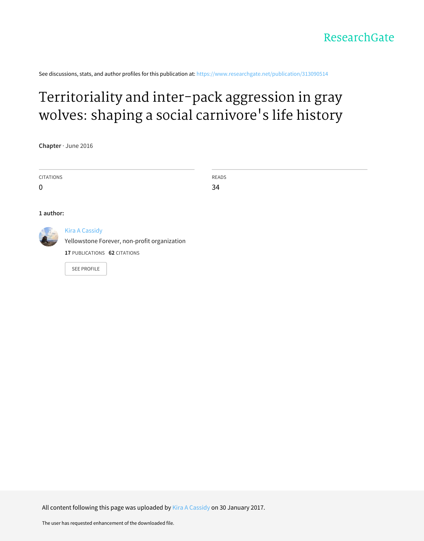See discussions, stats, and author profiles for this publication at: https://www.researchgate.net/publication/313090514

## Territoriality and inter-pack aggression in gray wolves: shaping a social carnivore's life history

**Chapter** · June 2016

| <b>CITATIONS</b>                                   | READS |
|----------------------------------------------------|-------|
| $\mathbf 0$                                        | 34    |
|                                                    |       |
| 1 author:                                          |       |
| <b>Kira A Cassidy</b><br>$\sim$<br>$\cdot$ $\cdot$ |       |

Yellowstone Forever, non-profit organization

**17** PUBLICATIONS **62** CITATIONS

SEE PROFILE

All content following this page was uploaded by Kira A Cassidy on 30 January 2017.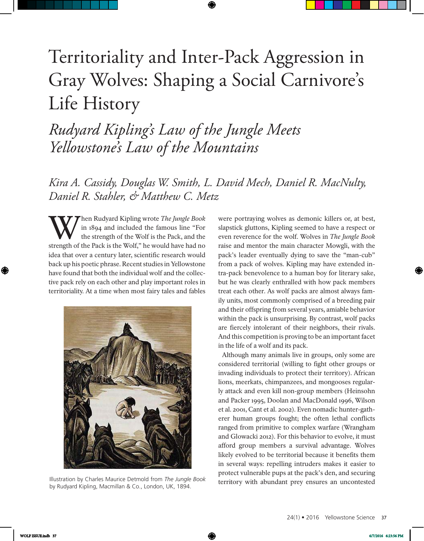# Territoriality and Inter-Pack Aggression in Gray Wolves: Shaping a Social Carnivore's Life History

*Rudyard Kipling's Law of the Jungle Meets Yellowstone's Law of the Mountains*

*Kira A. Cassidy, Douglas W. Smith, L. David Mech, Daniel R. MacNulty, Daniel R. Stahler, & Matthew C. Metz*

W hen Rudyard Kipling wrote *The Jungle Book*<br>the strength of the Wolf is the Pack, and the<br>strength of the Pack is the Wolf," he would have had no hen Rudyard Kipling wrote *The Jungle Book*  in 1894 and included the famous line "For the strength of the Wolf is the Pack, and the idea that over a century later, scientific research would back up his poetic phrase. Recent studies in Yellowstone have found that both the individual wolf and the collective pack rely on each other and play important roles in territoriality. At a time when most fairy tales and fables



by Rudyard Kipling, Macmillan & Co., London, UK, 1894.

were portraying wolves as demonic killers or, at best, slapstick gluttons, Kipling seemed to have a respect or even reverence for the wolf. Wolves in *The Jungle Book* raise and mentor the main character Mowgli, with the pack's leader eventually dying to save the "man-cub" from a pack of wolves. Kipling may have extended intra-pack benevolence to a human boy for literary sake, but he was clearly enthralled with how pack members treat each other. As wolf packs are almost always family units, most commonly comprised of a breeding pair and their offspring from several years, amiable behavior within the pack is unsurprising. By contrast, wolf packs are fiercely intolerant of their neighbors, their rivals. And this competition is proving to be an important facet in the life of a wolf and its pack.

Although many animals live in groups, only some are considered territorial (willing to fight other groups or invading individuals to protect their territory). African lions, meerkats, chimpanzees, and mongooses regularly attack and even kill non-group members (Heinsohn and Packer 1995, Doolan and MacDonald 1996, Wilson et al. 2001, Cant et al. 2002). Even nomadic hunter-gatherer human groups fought; the often lethal conflicts ranged from primitive to complex warfare (Wrangham and Glowacki 2012). For this behavior to evolve, it must afford group members a survival advantage. Wolves likely evolved to be territorial because it benefits them in several ways: repelling intruders makes it easier to protect vulnerable pups at the pack's den, and securing Illustration by Charles Maurice Detmold from *The Jungle Book ierritory with abundant prey ensures an uncontested*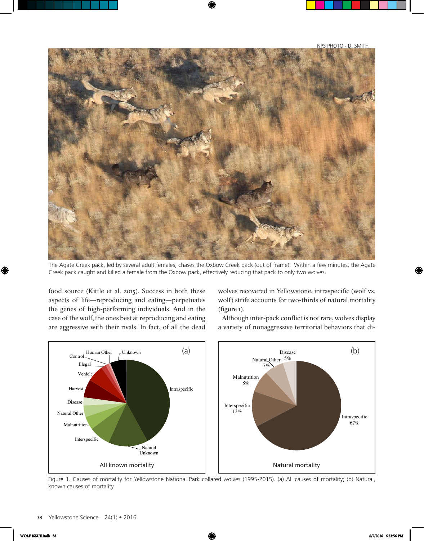NPS PHOTO - D. SMITH



The Agate Creek pack, led by several adult females, chases the Oxbow Creek pack (out of frame). Within a few minutes, the Agate Creek pack caught and killed a female from the Oxbow pack, effectively reducing that pack to only two wolves.

food source (Kittle et al. 2015). Success in both these aspects of life—reproducing and eating—perpetuates the genes of high-performing individuals. And in the case of the wolf, the ones best at reproducing and eating are aggressive with their rivals. In fact, of all the dead wolves recovered in Yellowstone, intraspecific (wolf vs. wolf) strife accounts for two-thirds of natural mortality (figure 1).

Although inter-pack conflict is not rare, wolves display a variety of nonaggressive territorial behaviors that di-



Figure 1. Causes of mortality for Yellowstone National Park collared wolves (1995-2015). (a) All causes of mortality; (b) Natural, known causes of mortality.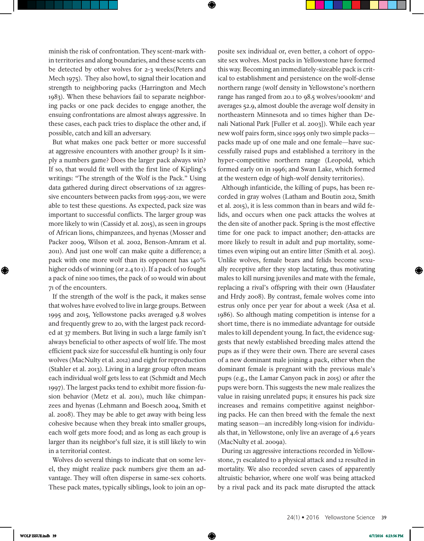minish the risk of confrontation. They scent-mark within territories and along boundaries, and these scents can be detected by other wolves for 2-3 weeks(Peters and Mech 1975). They also howl, to signal their location and strength to neighboring packs (Harrington and Mech 1983). When these behaviors fail to separate neighboring packs or one pack decides to engage another, the ensuing confrontations are almost always aggressive. In these cases, each pack tries to displace the other and, if possible, catch and kill an adversary.

But what makes one pack better or more successful at aggressive encounters with another group? Is it simply a numbers game? Does the larger pack always win? If so, that would fit well with the first line of Kipling's writings: "The strength of the Wolf is the Pack." Using data gathered during direct observations of 121 aggressive encounters between packs from 1995-2011, we were able to test these questions. As expected, pack size was important to successful conflicts. The larger group was more likely to win (Cassidy et al. 2015), as seen in groups of African lions, chimpanzees, and hyenas (Mosser and Packer 2009, Wilson et al. 2002, Benson-Amram et al. 2011). And just one wolf can make quite a difference; a pack with one more wolf than its opponent has 140% higher odds of winning (or 2.4 to 1). If a pack of 10 fought a pack of nine 100 times, the pack of 10 would win about 71 of the encounters.

If the strength of the wolf is the pack, it makes sense that wolves have evolved to live in large groups. Between 1995 and 2015, Yellowstone packs averaged 9.8 wolves and frequently grew to 20, with the largest pack recorded at 37 members. But living in such a large family isn't always beneficial to other aspects of wolf life. The most efficient pack size for successful elk hunting is only four wolves (MacNulty et al. 2012) and eight for reproduction (Stahler et al. 2013). Living in a large group often means each individual wolf gets less to eat (Schmidt and Mech 1997). The largest packs tend to exhibit more fission-fusion behavior (Metz et al. 2011), much like chimpanzees and hyenas (Lehmann and Boesch 2004, Smith et al. 2008). They may be able to get away with being less cohesive because when they break into smaller groups, each wolf gets more food; and as long as each group is larger than its neighbor's full size, it is still likely to win in a territorial contest.

Wolves do several things to indicate that on some level, they might realize pack numbers give them an advantage. They will often disperse in same-sex cohorts. These pack mates, typically siblings, look to join an opposite sex individual or, even better, a cohort of opposite sex wolves. Most packs in Yellowstone have formed this way. Becoming an immediately-sizeable pack is critical to establishment and persistence on the wolf-dense northern range (wolf density in Yellowstone's northern range has ranged from 20.1 to 98.5 wolves/1000km<sup>2</sup> and averages 52.9, almost double the average wolf density in northeastern Minnesota and 10 times higher than Denali National Park [Fuller et al. 2003]). While each year new wolf pairs form, since 1995 only two simple packs packs made up of one male and one female—have successfully raised pups and established a territory in the hyper-competitive northern range (Leopold, which formed early on in 1996; and Swan Lake, which formed at the western edge of high-wolf density territories).

Although infanticide, the killing of pups, has been recorded in gray wolves (Latham and Boutin 2012, Smith et al. 2015), it is less common than in bears and wild felids, and occurs when one pack attacks the wolves at the den site of another pack. Spring is the most effective time for one pack to impact another; den-attacks are more likely to result in adult and pup mortality, sometimes even wiping out an entire litter (Smith et al. 2015). Unlike wolves, female bears and felids become sexually receptive after they stop lactating, thus motivating males to kill nursing juveniles and mate with the female, replacing a rival's offspring with their own (Hausfater and Hrdy 2008). By contrast, female wolves come into estrus only once per year for about a week (Asa et al. 1986). So although mating competition is intense for a short time, there is no immediate advantage for outside males to kill dependent young. In fact, the evidence suggests that newly established breeding males attend the pups as if they were their own. There are several cases of a new dominant male joining a pack, either when the dominant female is pregnant with the previous male's pups (e.g., the Lamar Canyon pack in 2015) or after the pups were born. This suggests the new male realizes the value in raising unrelated pups; it ensures his pack size increases and remains competitive against neighboring packs. He can then breed with the female the next mating season—an incredibly long-vision for individuals that, in Yellowstone, only live an average of 4.6 years (MacNulty et al. 2009a).

During 121 aggressive interactions recorded in Yellowstone, 71 escalated to a physical attack and 12 resulted in mortality. We also recorded seven cases of apparently altruistic behavior, where one wolf was being attacked by a rival pack and its pack mate disrupted the attack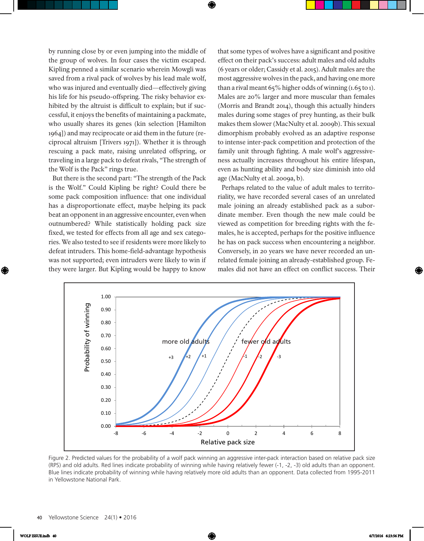by running close by or even jumping into the middle of the group of wolves. In four cases the victim escaped. Kipling penned a similar scenario wherein Mowgli was saved from a rival pack of wolves by his lead male wolf, who was injured and eventually died—effectively giving his life for his pseudo-offspring. The risky behavior exhibited by the altruist is difficult to explain; but if successful, it enjoys the benefits of maintaining a packmate, who usually shares its genes (kin selection [Hamilton 1964]) and may reciprocate or aid them in the future (reciprocal altruism [Trivers 1971]). Whether it is through rescuing a pack mate, raising unrelated offspring, or traveling in a large pack to defeat rivals, "The strength of the Wolf is the Pack" rings true.

But there is the second part: "The strength of the Pack is the Wolf." Could Kipling be right? Could there be some pack composition influence: that one individual has a disproportionate effect, maybe helping its pack beat an opponent in an aggressive encounter, even when outnumbered? While statistically holding pack size fixed, we tested for effects from all age and sex categories. We also tested to see if residents were more likely to defeat intruders. This home-field-advantage hypothesis was not supported; even intruders were likely to win if they were larger. But Kipling would be happy to know

that some types of wolves have a significant and positive effect on their pack's success: adult males and old adults (6 years or older; Cassidy et al. 2015). Adult males are the most aggressive wolves in the pack, and having one more than a rival meant  $65\%$  higher odds of winning  $(1.65 \text{ to } 1)$ . Males are 20% larger and more muscular than females (Morris and Brandt 2014), though this actually hinders males during some stages of prey hunting, as their bulk makes them slower (MacNulty et al. 2009b). This sexual dimorphism probably evolved as an adaptive response to intense inter-pack competition and protection of the family unit through fighting. A male wolf's aggressiveness actually increases throughout his entire lifespan, even as hunting ability and body size diminish into old age (MacNulty et al. 2009a, b).

Perhaps related to the value of adult males to territoriality, we have recorded several cases of an unrelated male joining an already established pack as a subordinate member. Even though the new male could be viewed as competition for breeding rights with the females, he is accepted, perhaps for the positive influence he has on pack success when encountering a neighbor. Conversely, in 20 years we have never recorded an unrelated female joining an already-established group. Females did not have an effect on conflict success. Their



Figure 2. Predicted values for the probability of a wolf pack winning an aggressive inter-pack interaction based on relative pack size (RPS) and old adults. Red lines indicate probability of winning while having relatively fewer (-1, -2, -3) old adults than an opponent. Blue lines indicate probability of winning while having relatively more old adults than an opponent. Data collected from 1995-2011 in Yellowstone National Park.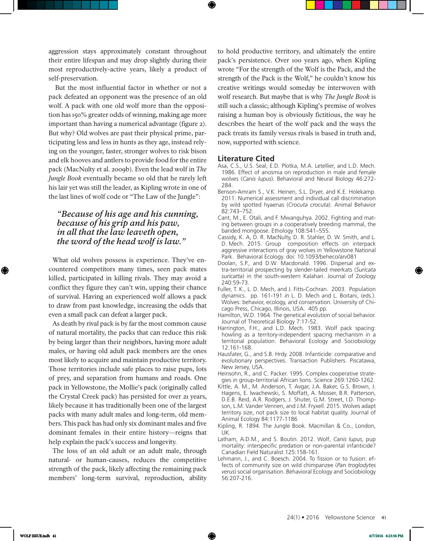aggression stays approximately constant throughout their entire lifespan and may drop slightly during their most reproductively-active years, likely a product of self-preservation.

 But the most influential factor in whether or not a pack defeated an opponent was the presence of an old wolf. A pack with one old wolf more than the opposition has 150% greater odds of winning, making age more important than having a numerical advantage (figure 2). But why? Old wolves are past their physical prime, participating less and less in hunts as they age, instead relying on the younger, faster, stronger wolves to risk bison and elk hooves and antlers to provide food for the entire pack (MacNulty et al. 2009b). Even the lead wolf in *The Jungle Book* eventually became so old that he rarely left his lair yet was still the leader, as Kipling wrote in one of the last lines of wolf code or "The Law of the Jungle":

#### *"Because of his age and his cunning, because of his grip and his paw, in all that the law leaveth open, the word of the head wolf is law."*

What old wolves possess is experience. They've encountered competitors many times, seen pack mates killed, participated in killing rivals. They may avoid a conflict they figure they can't win, upping their chance of survival. Having an experienced wolf allows a pack to draw from past knowledge, increasing the odds that even a small pack can defeat a larger pack.

As death by rival pack is by far the most common cause of natural mortality, the packs that can reduce this risk by being larger than their neighbors, having more adult males, or having old adult pack members are the ones most likely to acquire and maintain productive territory. Those territories include safe places to raise pups, lots of prey, and separation from humans and roads. One pack in Yellowstone, the Mollie's pack (originally called the Crystal Creek pack) has persisted for over 21 years, likely because it has traditionally been one of the largest packs with many adult males and long-term, old members. This pack has had only six dominant males and five dominant females in their entire history—reigns that help explain the pack's success and longevity.

The loss of an old adult or an adult male, through natural- or human-causes, reduces the competitive strength of the pack, likely affecting the remaining pack members' long-term survival, reproduction, ability to hold productive territory, and ultimately the entire pack's persistence. Over 100 years ago, when Kipling wrote "For the strength of the Wolf is the Pack, and the strength of the Pack is the Wolf," he couldn't know his creative writings would someday be interwoven with wolf research. But maybe that is why *The Jungle Book* is still such a classic; although Kipling's premise of wolves raising a human boy is obviously fictitious, the way he describes the heart of the wolf pack and the ways the pack treats its family versus rivals is based in truth and, now, supported with science.

#### **Literature Cited**

- Asa, C.S., U.S. Seal, E.D. Plotka, M.A. Letellier, and L.D. Mech. 1986. Effect of anosmia on reproduction in male and female wolves (*Canis lupus*). Behavioral and Neural Biology 46:272- 284.
- Benson-Amram S., V.K. Heinen, S.L. Dryer, and K.E. Holekamp. 2011. Numerical assessment and individual call discrimination by wild spotted hyaenas (*Crocuta crocuta*). Animal Behavior 82:743–752.
- Cant, M., E. Otali, and F. Mwanguhya. 2002. Fighting and mating between groups in a cooperatively breeding mammal, the banded mongoose. Ethology 108:541–555.
- Cassidy, K. A, D. R. MacNulty, D. R. Stahler, D. W. Smith, and L. D. Mech. 2015. Group composition effects on interpack aggressive interactions of gray wolves in Yellowstone National Park. Behavioral Ecology. doi: 10.1093/beheco/arv081
- Doolan, S.P., and D.W. Macdonald. 1996. Dispersal and extra-territorial prospecting by slender-tailed meerkats (*Suricata suricatta*) in the south-western Kalahari. Journal of Zoology 240:59-73.
- Fuller, T. K., L. D. Mech, and J. Fitts-Cochran. 2003. Population dynamics. pp. 161-191 *in* L. D. Mech and L. Boitani, (eds.). Wolves: behavior, ecology, and conservation. University of Chicago Press, Chicago, Illinois, USA. 405 pp.
- Hamilton, W.D. 1964. The genetical evolution of social behavior. Journal of Theoretical Biology 7:17-52.
- Harrington, F.H., and L.D. Mech. 1983. Wolf pack spacing: howling as a territory-independent spacing mechanism in a territorial population. Behavioral Ecology and Sociobiology 12:161-168.
- Hausfater, G., and S.B. Hrdy. 2008. Infanticide: comparative and evolutionary perspectives. Transaction Publishers. Piscatawa, New Jersey, USA.
- Heinsohn, R., and C. Packer. 1995. Complex cooperative strategies in group-territorial African lions. Science 269:1260-1262.
- Kittle, A. M., M. Anderson, T. Avgar, J.A. Baker, G.S. Brown, J. Hagens, E. Iwachewski, S. Moffatt, A. Mosser, B.R. Patterson, D.E.B. Reid, A.R. Rodgers, J. Shuter, G.M. Street, I.D. Thompson, L.M. Vander Vennen, and J.M. Fryxell. 2015. Wolves adapt territory size, not pack size to local habitat quality. Journal of Animal Ecology 84:1177-1186
- Kipling, R. 1894. The Jungle Book. Macmillan & Co., London, UK.
- Latham, A.D.M., and S. Boutin. 2012. Wolf, *Canis lupus*, pup mortality: interspecific predation or non-parental infanticide? Canadian Field Naturalist 125:158-161.
- Lehmann, J., and C. Boesch. 2004. To fission or to fusion: effects of community size on wild chimpanzee (*Pan troglodytes verus*) social organisation. Behavioral Ecology and Sociobiology 56:207-216.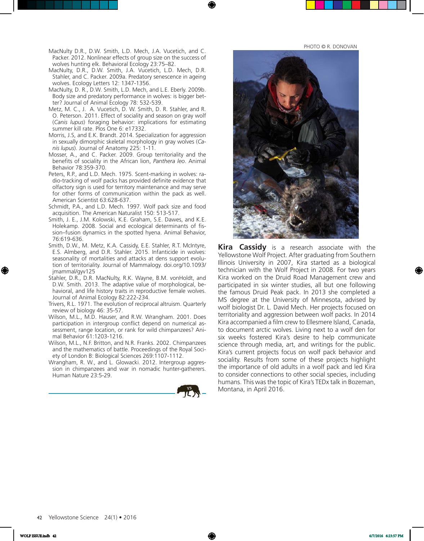PHOTO © R. DONOVAN

- MacNulty D.R., D.W. Smith, L.D. Mech, J.A. Vucetich, and C. Packer. 2012. Nonlinear effects of group size on the success of wolves hunting elk. Behavioral Ecology 23:75–82.
- MacNulty, D.R., D.W. Smith, J.A. Vucetich, L.D. Mech, D.R. Stahler, and C. Packer. 2009a. Predatory senescence in ageing wolves. Ecology Letters 12: 1347-1356.
- MacNulty, D. R., D.W. Smith, L.D. Mech, and L.E. Eberly. 2009b. Body size and predatory performance in wolves: is bigger better? Journal of Animal Ecology 78: 532-539.
- Metz, M. C., J. A. Vucetich, D. W. Smith, D. R. Stahler, and R. O. Peterson. 2011. Effect of sociality and season on gray wolf (*Canis lupus*) foraging behavior: implications for estimating summer kill rate. Plos One 6: e17332.
- Morris, J.S, and E.K. Brandt. 2014. Specialization for aggression in sexually dimorphic skeletal morphology in gray wolves (*Canis lupus*). Journal of Anatomy 225: 1-11.
- Mosser, A., and C. Packer. 2009. Group territoriality and the benefits of sociality in the African lion, *Panthera leo*. Animal Behavior 78:359-370.
- Peters, R.P., and L.D. Mech. 1975. Scent-marking in wolves: radio-tracking of wolf packs has provided definite evidence that olfactory sign is used for territory maintenance and may serve for other forms of communication within the pack as well. American Scientist 63:628-637.
- Schmidt, P.A., and L.D. Mech. 1997. Wolf pack size and food acquisition. The American Naturalist 150: 513-517.
- Smith, J. E., J.M. Kolowski, K.E. Graham, S.E. Dawes, and K.E. Holekamp. 2008. Social and ecological determinants of fission–fusion dynamics in the spotted hyena. Animal Behavior, 76:619-636.
- Smith, D.W., M. Metz, K.A. Cassidy, E.E. Stahler, R.T. McIntyre, E.S. Almberg, and D.R. Stahler. 2015. Infanticide in wolves: seasonality of mortalities and attacks at dens support evolution of territoriality. Journal of Mammalogy. doi.org/10.1093/ jmammal/gyv125
- Stahler, D.R., D.R. MacNulty, R.K. Wayne, B.M. vonHoldt, and D.W. Smith. 2013. The adaptive value of morphological, behavioral, and life history traits in reproductive female wolves. Journal of Animal Ecology 82:222-234.
- Trivers, R.L. 1971. The evolution of reciprocal altruism. Quarterly review of biology 46: 35-57.
- Wilson, M.L., M.D. Hauser, and R.W. Wrangham. 2001. Does participation in intergroup conflict depend on numerical assessment, range location, or rank for wild chimpanzees? Animal Behavior 61:1203-1216.
- Wilson, M.L., N.F. Britton, and N.R. Franks. 2002. Chimpanzees and the mathematics of battle. Proceedings of the Royal Society of London B: Biological Sciences 269:1107-1112.
- Wrangham, R. W., and L. Glowacki. 2012. Intergroup aggression in chimpanzees and war in nomadic hunter-gatherers. Human Nature 23:5-29.





**Kira Cassidy** is a research associate with the Yellowstone Wolf Project. After graduating from Southern Illinois University in 2007, Kira started as a biological technician with the Wolf Project in 2008. For two years Kira worked on the Druid Road Management crew and participated in six winter studies, all but one following the famous Druid Peak pack. In 2013 she completed a MS degree at the University of Minnesota, advised by wolf biologist Dr. L. David Mech. Her projects focused on territoriality and aggression between wolf packs. In 2014 Kira accompanied a film crew to Ellesmere Island, Canada, to document arctic wolves. Living next to a wolf den for six weeks fostered Kira's desire to help communicate science through media, art, and writings for the public. Kira's current projects focus on wolf pack behavior and sociality. Results from some of these projects highlight the importance of old adults in a wolf pack and led Kira to consider connections to other social species, including humans. This was the topic of Kira's TEDx talk in Bozeman, Montana, in April 2016.